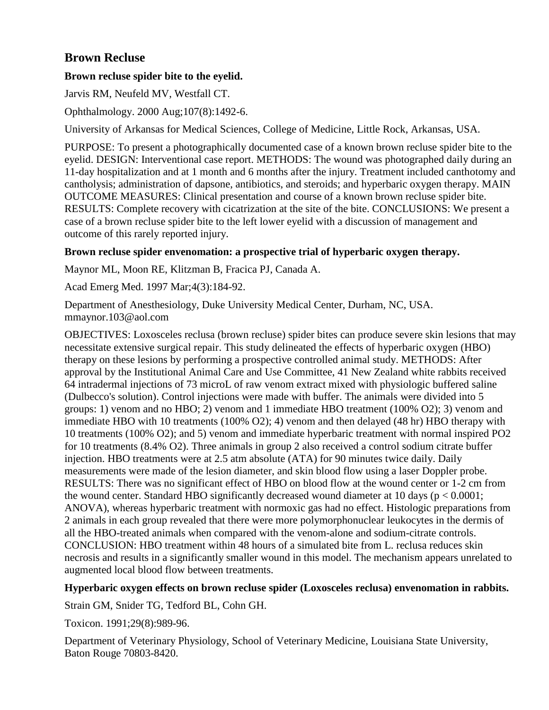# **Brown Recluse**

## **Brown recluse spider bite to the eyelid.**

Jarvis RM, Neufeld MV, Westfall CT.

Ophthalmology. 2000 Aug;107(8):1492-6.

University of Arkansas for Medical Sciences, College of Medicine, Little Rock, Arkansas, USA.

PURPOSE: To present a photographically documented case of a known brown recluse spider bite to the eyelid. DESIGN: Interventional case report. METHODS: The wound was photographed daily during an 11-day hospitalization and at 1 month and 6 months after the injury. Treatment included canthotomy and cantholysis; administration of dapsone, antibiotics, and steroids; and hyperbaric oxygen therapy. MAIN OUTCOME MEASURES: Clinical presentation and course of a known brown recluse spider bite. RESULTS: Complete recovery with cicatrization at the site of the bite. CONCLUSIONS: We present a case of a brown recluse spider bite to the left lower eyelid with a discussion of management and outcome of this rarely reported injury.

## **Brown recluse spider envenomation: a prospective trial of hyperbaric oxygen therapy.**

Maynor ML, Moon RE, Klitzman B, Fracica PJ, Canada A.

Acad Emerg Med. 1997 Mar;4(3):184-92.

Department of Anesthesiology, Duke University Medical Center, Durham, NC, USA. mmaynor.103@aol.com

OBJECTIVES: Loxosceles reclusa (brown recluse) spider bites can produce severe skin lesions that may necessitate extensive surgical repair. This study delineated the effects of hyperbaric oxygen (HBO) therapy on these lesions by performing a prospective controlled animal study. METHODS: After approval by the Institutional Animal Care and Use Committee, 41 New Zealand white rabbits received 64 intradermal injections of 73 microL of raw venom extract mixed with physiologic buffered saline (Dulbecco's solution). Control injections were made with buffer. The animals were divided into 5 groups: 1) venom and no HBO; 2) venom and 1 immediate HBO treatment (100% O2); 3) venom and immediate HBO with 10 treatments (100% O2); 4) venom and then delayed (48 hr) HBO therapy with 10 treatments (100% O2); and 5) venom and immediate hyperbaric treatment with normal inspired PO2 for 10 treatments (8.4% O2). Three animals in group 2 also received a control sodium citrate buffer injection. HBO treatments were at 2.5 atm absolute (ATA) for 90 minutes twice daily. Daily measurements were made of the lesion diameter, and skin blood flow using a laser Doppler probe. RESULTS: There was no significant effect of HBO on blood flow at the wound center or 1-2 cm from the wound center. Standard HBO significantly decreased wound diameter at 10 days ( $p < 0.0001$ ; ANOVA), whereas hyperbaric treatment with normoxic gas had no effect. Histologic preparations from 2 animals in each group revealed that there were more polymorphonuclear leukocytes in the dermis of all the HBO-treated animals when compared with the venom-alone and sodium-citrate controls. CONCLUSION: HBO treatment within 48 hours of a simulated bite from L. reclusa reduces skin necrosis and results in a significantly smaller wound in this model. The mechanism appears unrelated to augmented local blood flow between treatments.

## **Hyperbaric oxygen effects on brown recluse spider (Loxosceles reclusa) envenomation in rabbits.**

Strain GM, Snider TG, Tedford BL, Cohn GH.

Toxicon. 1991;29(8):989-96.

Department of Veterinary Physiology, School of Veterinary Medicine, Louisiana State University, Baton Rouge 70803-8420.